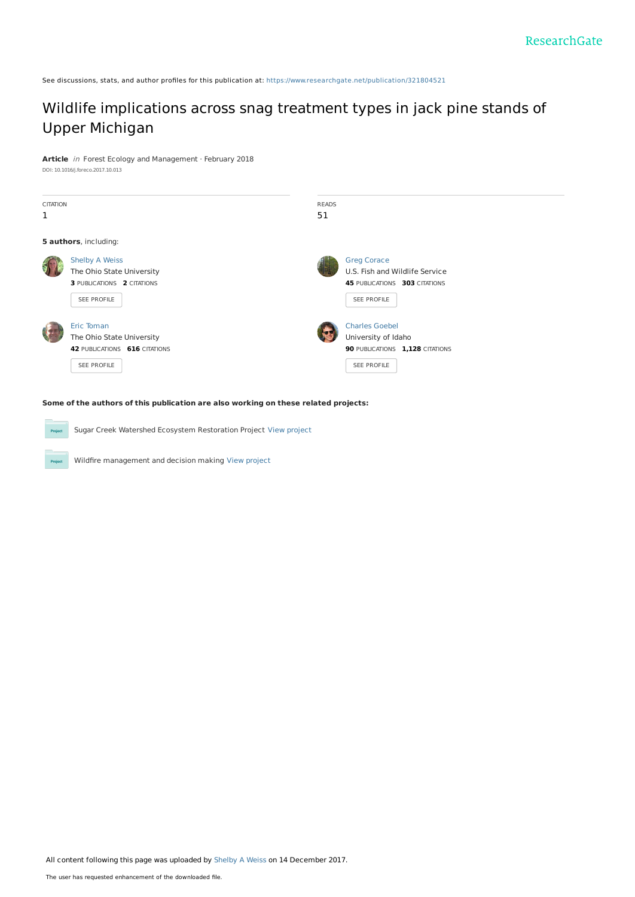See discussions, stats, and author profiles for this publication at: [https://www.researchgate.net/publication/321804521](https://www.researchgate.net/publication/321804521_Wildlife_implications_across_snag_treatment_types_in_jack_pine_stands_of_Upper_Michigan?enrichId=rgreq-d788f7731cc4c49d597cba67a7bbe2b2-XXX&enrichSource=Y292ZXJQYWdlOzMyMTgwNDUyMTtBUzo1NzE0ODc4MDc2MDI2OTJAMTUxMzI2NDcxOTkxMw%3D%3D&el=1_x_2&_esc=publicationCoverPdf)

# Wildlife [implications](https://www.researchgate.net/publication/321804521_Wildlife_implications_across_snag_treatment_types_in_jack_pine_stands_of_Upper_Michigan?enrichId=rgreq-d788f7731cc4c49d597cba67a7bbe2b2-XXX&enrichSource=Y292ZXJQYWdlOzMyMTgwNDUyMTtBUzo1NzE0ODc4MDc2MDI2OTJAMTUxMzI2NDcxOTkxMw%3D%3D&el=1_x_3&_esc=publicationCoverPdf) across snag treatment types in jack pine stands of Upper Michigan

**Article** in Forest Ecology and Management · February 2018

DOI: 10.1016/j.foreco.2017.10.013



**Some of the authors of this publication are also working on these related projects:**

Sugar Creek Watershed Ecosystem Restoration Project View [project](https://www.researchgate.net/project/Sugar-Creek-Watershed-Ecosystem-Restoration-Project?enrichId=rgreq-d788f7731cc4c49d597cba67a7bbe2b2-XXX&enrichSource=Y292ZXJQYWdlOzMyMTgwNDUyMTtBUzo1NzE0ODc4MDc2MDI2OTJAMTUxMzI2NDcxOTkxMw%3D%3D&el=1_x_9&_esc=publicationCoverPdf)

.<br>Pr

Wildfire management and decision making View [project](https://www.researchgate.net/project/Wildfire-management-and-decision-making?enrichId=rgreq-d788f7731cc4c49d597cba67a7bbe2b2-XXX&enrichSource=Y292ZXJQYWdlOzMyMTgwNDUyMTtBUzo1NzE0ODc4MDc2MDI2OTJAMTUxMzI2NDcxOTkxMw%3D%3D&el=1_x_9&_esc=publicationCoverPdf)

All content following this page was uploaded by [Shelby](https://www.researchgate.net/profile/Shelby_Weiss3?enrichId=rgreq-d788f7731cc4c49d597cba67a7bbe2b2-XXX&enrichSource=Y292ZXJQYWdlOzMyMTgwNDUyMTtBUzo1NzE0ODc4MDc2MDI2OTJAMTUxMzI2NDcxOTkxMw%3D%3D&el=1_x_10&_esc=publicationCoverPdf) A Weiss on 14 December 2017.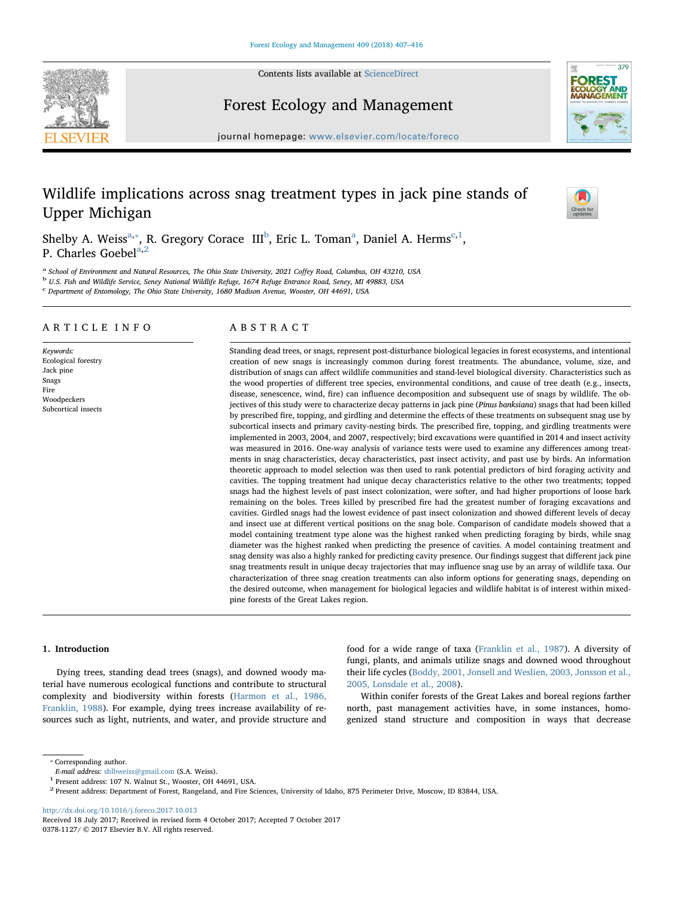Contents lists available at [ScienceDirect](http://www.sciencedirect.com/science/journal/03781127)





# Forest Ecology and Management

journal homepage: [www.elsevier.com/locate/foreco](https://www.elsevier.com/locate/foreco)

# Wildlife implications across snag treatment types in jack pine stands of Upper Michigan



Shelby A. Weiss<sup>[a,](#page-1-0)\*</sup>, R. Gregory Corace III<sup>[b](#page-1-2)</sup>, Eric L. Tom[a](#page-1-0)n<sup>a</sup>, Daniel A. Herms<sup>[c](#page-1-3),[1](#page-1-4)</sup>, P. Charles Goebel<sup>[a,](#page-1-0)[2](#page-1-5)</sup>

<span id="page-1-0"></span><sup>a</sup> School of Environment and Natural Resources, The Ohio State University, 2021 Coffey Road, Columbus, OH 43210, USA<br><sup>b</sup> U.S. Fish and Wildlife Service, Seney National Wildlife Refuge, 1674 Refuge Entrance Road, Seney, MI

<span id="page-1-3"></span><span id="page-1-2"></span>

<sup>c</sup> Department of Entomology, The Ohio State University, 1680 Madison Avenue, Wooster, OH 44691, USA

## ARTICLE INFO

Keywords: Ecological forestry Jack pine Snags Fire Woodpeckers Subcortical insects

## ABSTRACT

Standing dead trees, or snags, represent post-disturbance biological legacies in forest ecosystems, and intentional creation of new snags is increasingly common during forest treatments. The abundance, volume, size, and distribution of snags can affect wildlife communities and stand-level biological diversity. Characteristics such as the wood properties of different tree species, environmental conditions, and cause of tree death (e.g., insects, disease, senescence, wind, fire) can influence decomposition and subsequent use of snags by wildlife. The objectives of this study were to characterize decay patterns in jack pine (Pinus banksiana) snags that had been killed by prescribed fire, topping, and girdling and determine the effects of these treatments on subsequent snag use by subcortical insects and primary cavity-nesting birds. The prescribed fire, topping, and girdling treatments were implemented in 2003, 2004, and 2007, respectively; bird excavations were quantified in 2014 and insect activity was measured in 2016. One-way analysis of variance tests were used to examine any differences among treatments in snag characteristics, decay characteristics, past insect activity, and past use by birds. An information theoretic approach to model selection was then used to rank potential predictors of bird foraging activity and cavities. The topping treatment had unique decay characteristics relative to the other two treatments; topped snags had the highest levels of past insect colonization, were softer, and had higher proportions of loose bark remaining on the boles. Trees killed by prescribed fire had the greatest number of foraging excavations and cavities. Girdled snags had the lowest evidence of past insect colonization and showed different levels of decay and insect use at different vertical positions on the snag bole. Comparison of candidate models showed that a model containing treatment type alone was the highest ranked when predicting foraging by birds, while snag diameter was the highest ranked when predicting the presence of cavities. A model containing treatment and snag density was also a highly ranked for predicting cavity presence. Our findings suggest that different jack pine snag treatments result in unique decay trajectories that may influence snag use by an array of wildlife taxa. Our characterization of three snag creation treatments can also inform options for generating snags, depending on the desired outcome, when management for biological legacies and wildlife habitat is of interest within mixedpine forests of the Great Lakes region.

## 1. Introduction

Dying trees, standing dead trees (snags), and downed woody material have numerous ecological functions and contribute to structural complexity and biodiversity within forests ([Harmon et al., 1986,](#page-9-0) [Franklin, 1988\)](#page-9-0). For example, dying trees increase availability of resources such as light, nutrients, and water, and provide structure and food for a wide range of taxa [\(Franklin et al., 1987\)](#page-9-1). A diversity of fungi, plants, and animals utilize snags and downed wood throughout their life cycles [\(Boddy, 2001, Jonsell and Weslien, 2003, Jonsson et al.,](#page-9-2) [2005, Lonsdale et al., 2008\)](#page-9-2).

Within conifer forests of the Great Lakes and boreal regions farther north, past management activities have, in some instances, homogenized stand structure and composition in ways that decrease

<http://dx.doi.org/10.1016/j.foreco.2017.10.013>

<span id="page-1-1"></span><sup>⁎</sup> Corresponding author.

E-mail address: [shlbweiss@gmail.com](mailto:shlbweiss@gmail.com) (S.A. Weiss).

<span id="page-1-4"></span><sup>1</sup> Present address: 107 N. Walnut St., Wooster, OH 44691, USA.

<span id="page-1-5"></span><sup>2</sup> Present address: Department of Forest, Rangeland, and Fire Sciences, University of Idaho, 875 Perimeter Drive, Moscow, ID 83844, USA.

Received 18 July 2017; Received in revised form 4 October 2017; Accepted 7 October 2017 0378-1127/ © 2017 Elsevier B.V. All rights reserved.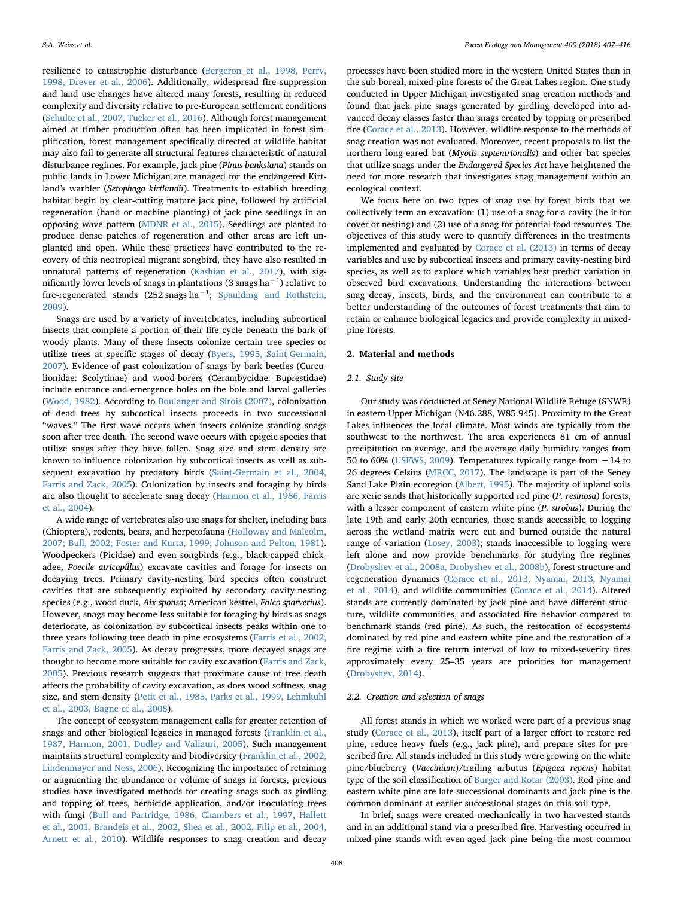resilience to catastrophic disturbance ([Bergeron et al., 1998, Perry,](#page-9-3) [1998, Drever et al., 2006](#page-9-3)). Additionally, widespread fire suppression and land use changes have altered many forests, resulting in reduced complexity and diversity relative to pre-European settlement conditions ([Schulte et al., 2007, Tucker et al., 2016](#page-10-0)). Although forest management aimed at timber production often has been implicated in forest simplification, forest management specifically directed at wildlife habitat may also fail to generate all structural features characteristic of natural disturbance regimes. For example, jack pine (Pinus banksiana) stands on public lands in Lower Michigan are managed for the endangered Kirtland's warbler (Setophaga kirtlandii). Treatments to establish breeding habitat begin by clear-cutting mature jack pine, followed by artificial regeneration (hand or machine planting) of jack pine seedlings in an opposing wave pattern ([MDNR et al., 2015](#page-10-1)). Seedlings are planted to produce dense patches of regeneration and other areas are left unplanted and open. While these practices have contributed to the recovery of this neotropical migrant songbird, they have also resulted in unnatural patterns of regeneration ([Kashian et al., 2017](#page-9-4)), with significantly lower levels of snags in plantations (3 snags ha $^{-1}$ ) relative to fire-regenerated stands (252 snags ha<sup>-1</sup>; [Spaulding and Rothstein,](#page-10-2) [2009\)](#page-10-2).

Snags are used by a variety of invertebrates, including subcortical insects that complete a portion of their life cycle beneath the bark of woody plants. Many of these insects colonize certain tree species or utilize trees at specific stages of decay ([Byers, 1995, Saint-Germain,](#page-9-5) [2007\)](#page-9-5). Evidence of past colonization of snags by bark beetles (Curculionidae: Scolytinae) and wood-borers (Cerambycidae: Buprestidae) include entrance and emergence holes on the bole and larval galleries ([Wood, 1982](#page-10-3)). According to [Boulanger and Sirois \(2007\)](#page-9-6), colonization of dead trees by subcortical insects proceeds in two successional "waves." The first wave occurs when insects colonize standing snags soon after tree death. The second wave occurs with epigeic species that utilize snags after they have fallen. Snag size and stem density are known to influence colonization by subcortical insects as well as subsequent excavation by predatory birds ([Saint-Germain et al., 2004,](#page-10-4) [Farris and Zack, 2005\)](#page-10-4). Colonization by insects and foraging by birds are also thought to accelerate snag decay [\(Harmon et al., 1986, Farris](#page-9-0) [et al., 2004](#page-9-0)).

A wide range of vertebrates also use snags for shelter, including bats (Chioptera), rodents, bears, and herpetofauna [\(Holloway and Malcolm,](#page-9-7) [2007; Bull, 2002; Foster and Kurta, 1999; Johnson and Pelton, 1981](#page-9-7)). Woodpeckers (Picidae) and even songbirds (e.g., black-capped chickadee, Poecile atricapillus) excavate cavities and forage for insects on decaying trees. Primary cavity-nesting bird species often construct cavities that are subsequently exploited by secondary cavity-nesting species (e.g., wood duck, Aix sponsa; American kestrel, Falco sparverius). However, snags may become less suitable for foraging by birds as snags deteriorate, as colonization by subcortical insects peaks within one to three years following tree death in pine ecosystems ([Farris et al., 2002,](#page-9-8) [Farris and Zack, 2005\)](#page-9-8). As decay progresses, more decayed snags are thought to become more suitable for cavity excavation ([Farris and Zack,](#page-9-9) [2005\)](#page-9-9). Previous research suggests that proximate cause of tree death affects the probability of cavity excavation, as does wood softness, snag size, and stem density ([Petit et al., 1985, Parks et al., 1999, Lehmkuhl](#page-10-5) [et al., 2003, Bagne et al., 2008](#page-10-5)).

The concept of ecosystem management calls for greater retention of snags and other biological legacies in managed forests [\(Franklin et al.,](#page-9-1) [1987, Harmon, 2001, Dudley and Vallauri, 2005\)](#page-9-1). Such management maintains structural complexity and biodiversity ([Franklin et al., 2002,](#page-9-10) [Lindenmayer and Noss, 2006\)](#page-9-10). Recognizing the importance of retaining or augmenting the abundance or volume of snags in forests, previous studies have investigated methods for creating snags such as girdling and topping of trees, herbicide application, and/or inoculating trees with fungi ([Bull and Partridge, 1986, Chambers et al., 1997, Hallett](#page-9-11) [et al., 2001, Brandeis et al., 2002, Shea et al., 2002, Filip et al., 2004,](#page-9-11) [Arnett et al., 2010\)](#page-9-11). Wildlife responses to snag creation and decay

processes have been studied more in the western United States than in the sub-boreal, mixed-pine forests of the Great Lakes region. One study conducted in Upper Michigan investigated snag creation methods and found that jack pine snags generated by girdling developed into advanced decay classes faster than snags created by topping or prescribed fire ([Corace et al., 2013](#page-9-12)). However, wildlife response to the methods of snag creation was not evaluated. Moreover, recent proposals to list the northern long-eared bat (Myotis septentrionalis) and other bat species that utilize snags under the Endangered Species Act have heightened the need for more research that investigates snag management within an ecological context.

We focus here on two types of snag use by forest birds that we collectively term an excavation: (1) use of a snag for a cavity (be it for cover or nesting) and (2) use of a snag for potential food resources. The objectives of this study were to quantify differences in the treatments implemented and evaluated by [Corace et al. \(2013\)](#page-9-12) in terms of decay variables and use by subcortical insects and primary cavity-nesting bird species, as well as to explore which variables best predict variation in observed bird excavations. Understanding the interactions between snag decay, insects, birds, and the environment can contribute to a better understanding of the outcomes of forest treatments that aim to retain or enhance biological legacies and provide complexity in mixedpine forests.

## 2. Material and methods

### 2.1. Study site

Our study was conducted at Seney National Wildlife Refuge (SNWR) in eastern Upper Michigan (N46.288, W85.945). Proximity to the Great Lakes influences the local climate. Most winds are typically from the southwest to the northwest. The area experiences 81 cm of annual precipitation on average, and the average daily humidity ranges from 50 to 60% [\(USFWS, 2009\)](#page-10-6). Temperatures typically range from −14 to 26 degrees Celsius ([MRCC, 2017](#page-10-7)). The landscape is part of the Seney Sand Lake Plain ecoregion ([Albert, 1995](#page-9-13)). The majority of upland soils are xeric sands that historically supported red pine (P. resinosa) forests, with a lesser component of eastern white pine (P. strobus). During the late 19th and early 20th centuries, those stands accessible to logging across the wetland matrix were cut and burned outside the natural range of variation [\(Losey, 2003\)](#page-10-8); stands inaccessible to logging were left alone and now provide benchmarks for studying fire regimes ([Drobyshev et al., 2008a, Drobyshev et al., 2008b](#page-9-14)), forest structure and regeneration dynamics [\(Corace et al., 2013, Nyamai, 2013, Nyamai](#page-9-12) [et al., 2014](#page-9-12)), and wildlife communities [\(Corace et al., 2014](#page-9-15)). Altered stands are currently dominated by jack pine and have different structure, wildlife communities, and associated fire behavior compared to benchmark stands (red pine). As such, the restoration of ecosystems dominated by red pine and eastern white pine and the restoration of a fire regime with a fire return interval of low to mixed-severity fires approximately every 25–35 years are priorities for management ([Drobyshev, 2014\)](#page-9-16).

## 2.2. Creation and selection of snags

All forest stands in which we worked were part of a previous snag study ([Corace et al., 2013](#page-9-12)), itself part of a larger effort to restore red pine, reduce heavy fuels (e.g., jack pine), and prepare sites for prescribed fire. All stands included in this study were growing on the white pine/blueberry (Vaccinium)/trailing arbutus (Epigaea repens) habitat type of the soil classification of [Burger and Kotar \(2003\)](#page-9-17). Red pine and eastern white pine are late successional dominants and jack pine is the common dominant at earlier successional stages on this soil type.

In brief, snags were created mechanically in two harvested stands and in an additional stand via a prescribed fire. Harvesting occurred in mixed-pine stands with even-aged jack pine being the most common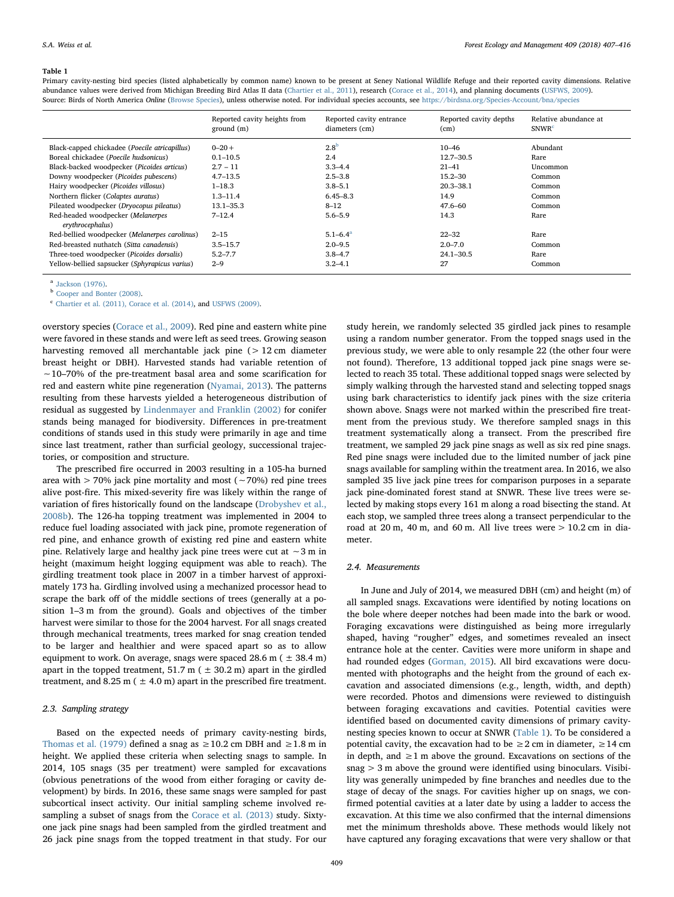#### <span id="page-3-0"></span>Table 1

Primary cavity-nesting bird species (listed alphabetically by common name) known to be present at Seney National Wildlife Refuge and their reported cavity dimensions. Relative abundance values were derived from Michigan Breeding Bird Atlas II data [\(Chartier et al., 2011\)](#page-9-22), research [\(Corace et al., 2014](#page-9-15)), and planning documents [\(USFWS, 2009](#page-10-6)). Source: Birds of North America Online ([Browse Species](#page-9-23)), unless otherwise noted. For individual species accounts, see <https://birdsna.org/Species-Account/bna/species>

|                                               | Reported cavity heights from<br>ground (m) | Reported cavity entrance<br>diameters (cm) | Reported cavity depths<br>(cm) | Relative abundance at<br>SNWR <sup>c</sup> |
|-----------------------------------------------|--------------------------------------------|--------------------------------------------|--------------------------------|--------------------------------------------|
| Black-capped chickadee (Poecile atricapillus) | $0 - 20 +$                                 | 2.8 <sup>b</sup>                           | $10 - 46$                      | Abundant                                   |
| Boreal chickadee (Poecile hudsonicus)         | $0.1 - 10.5$                               | 2.4                                        | 12.7-30.5                      | Rare                                       |
| Black-backed woodpecker (Picoides articus)    | $2.7 - 11$                                 | $3.3 - 4.4$                                | $21 - 41$                      | Uncommon                                   |
| Downy woodpecker (Picoides pubescens)         | $4.7 - 13.5$                               | $2.5 - 3.8$                                | $15.2 - 30$                    | Common                                     |
| Hairy woodpecker (Picoides villosus)          | $1 - 18.3$                                 | $3.8 - 5.1$                                | $20.3 - 38.1$                  | Common                                     |
| Northern flicker (Colaptes auratus)           | $1.3 - 11.4$                               | $6.45 - 8.3$                               | 14.9                           | Common                                     |
| Pileated woodpecker (Dryocopus pileatus)      | $13.1 - 35.3$                              | $8 - 12$                                   | $47.6 - 60$                    | Common                                     |
| Red-headed woodpecker (Melanerpes             | $7 - 12.4$                                 | $5.6 - 5.9$                                | 14.3                           | Rare                                       |
| erythrocephalus)                              |                                            |                                            |                                |                                            |
| Red-bellied woodpecker (Melanerpes carolinus) | $2 - 15$                                   | $5.1 - 6.4^a$                              | $22 - 32$                      | Rare                                       |
| Red-breasted nuthatch (Sitta canadensis)      | $3.5 - 15.7$                               | $2.0 - 9.5$                                | $2.0 - 7.0$                    | Common                                     |
| Three-toed woodpecker (Picoides dorsalis)     | $5.2 - 7.7$                                | $3.8 - 4.7$                                | $24.1 - 30.5$                  | Rare                                       |
| Yellow-bellied sapsucker (Sphyrapicus varius) | $2 - 9$                                    | $3.2 - 4.1$                                | 27                             | Common                                     |

<span id="page-3-3"></span><sup>a</sup> [Jackson \(1976\)](#page-9-24).

<span id="page-3-2"></span><sup>b</sup> [Cooper and Bonter \(2008\).](#page-9-25)

<span id="page-3-1"></span><sup>c</sup> [Chartier et al. \(2011\), Corace et al. \(2014\)](#page-9-22), and [USFWS \(2009\)](#page-10-6).

overstory species ([Corace et al., 2009](#page-9-18)). Red pine and eastern white pine were favored in these stands and were left as seed trees. Growing season harvesting removed all merchantable jack pine (> 12 cm diameter breast height or DBH). Harvested stands had variable retention of ∼10–70% of the pre-treatment basal area and some scarification for red and eastern white pine regeneration [\(Nyamai, 2013](#page-10-9)). The patterns resulting from these harvests yielded a heterogeneous distribution of residual as suggested by [Lindenmayer and Franklin \(2002\)](#page-9-19) for conifer stands being managed for biodiversity. Differences in pre-treatment conditions of stands used in this study were primarily in age and time since last treatment, rather than surficial geology, successional trajectories, or composition and structure.

The prescribed fire occurred in 2003 resulting in a 105-ha burned area with > 70% jack pine mortality and most (∼70%) red pine trees alive post-fire. This mixed-severity fire was likely within the range of variation of fires historically found on the landscape ([Drobyshev et al.,](#page-9-20) [2008b\)](#page-9-20). The 126-ha topping treatment was implemented in 2004 to reduce fuel loading associated with jack pine, promote regeneration of red pine, and enhance growth of existing red pine and eastern white pine. Relatively large and healthy jack pine trees were cut at ∼3 m in height (maximum height logging equipment was able to reach). The girdling treatment took place in 2007 in a timber harvest of approximately 173 ha. Girdling involved using a mechanized processor head to scrape the bark off of the middle sections of trees (generally at a position 1–3 m from the ground). Goals and objectives of the timber harvest were similar to those for the 2004 harvest. For all snags created through mechanical treatments, trees marked for snag creation tended to be larger and healthier and were spaced apart so as to allow equipment to work. On average, snags were spaced 28.6 m  $($   $\pm$  38.4 m) apart in the topped treatment,  $51.7$  m ( $\pm 30.2$  m) apart in the girdled treatment, and 8.25 m ( $\pm$  4.0 m) apart in the prescribed fire treatment.

## 2.3. Sampling strategy

Based on the expected needs of primary cavity-nesting birds, [Thomas et al. \(1979\)](#page-10-10) defined a snag as  $\geq$  10.2 cm DBH and  $\geq$  1.8 m in height. We applied these criteria when selecting snags to sample. In 2014, 105 snags (35 per treatment) were sampled for excavations (obvious penetrations of the wood from either foraging or cavity development) by birds. In 2016, these same snags were sampled for past subcortical insect activity. Our initial sampling scheme involved resampling a subset of snags from the [Corace et al. \(2013\)](#page-9-12) study. Sixtyone jack pine snags had been sampled from the girdled treatment and 26 jack pine snags from the topped treatment in that study. For our

study herein, we randomly selected 35 girdled jack pines to resample using a random number generator. From the topped snags used in the previous study, we were able to only resample 22 (the other four were not found). Therefore, 13 additional topped jack pine snags were selected to reach 35 total. These additional topped snags were selected by simply walking through the harvested stand and selecting topped snags using bark characteristics to identify jack pines with the size criteria shown above. Snags were not marked within the prescribed fire treatment from the previous study. We therefore sampled snags in this treatment systematically along a transect. From the prescribed fire treatment, we sampled 29 jack pine snags as well as six red pine snags. Red pine snags were included due to the limited number of jack pine snags available for sampling within the treatment area. In 2016, we also sampled 35 live jack pine trees for comparison purposes in a separate jack pine-dominated forest stand at SNWR. These live trees were selected by making stops every 161 m along a road bisecting the stand. At each stop, we sampled three trees along a transect perpendicular to the road at  $20 \text{ m}$ ,  $40 \text{ m}$ , and  $60 \text{ m}$ . All live trees were  $> 10.2 \text{ cm}$  in diameter.

### 2.4. Measurements

In June and July of 2014, we measured DBH (cm) and height (m) of all sampled snags. Excavations were identified by noting locations on the bole where deeper notches had been made into the bark or wood. Foraging excavations were distinguished as being more irregularly shaped, having "rougher" edges, and sometimes revealed an insect entrance hole at the center. Cavities were more uniform in shape and had rounded edges ([Gorman, 2015](#page-9-21)). All bird excavations were documented with photographs and the height from the ground of each excavation and associated dimensions (e.g., length, width, and depth) were recorded. Photos and dimensions were reviewed to distinguish between foraging excavations and cavities. Potential cavities were identified based on documented cavity dimensions of primary cavitynesting species known to occur at SNWR ([Table 1](#page-3-0)). To be considered a potential cavity, the excavation had to be  $\geq 2$  cm in diameter,  $\geq 14$  cm in depth, and  $\geq 1$  m above the ground. Excavations on sections of the snag > 3 m above the ground were identified using binoculars. Visibility was generally unimpeded by fine branches and needles due to the stage of decay of the snags. For cavities higher up on snags, we confirmed potential cavities at a later date by using a ladder to access the excavation. At this time we also confirmed that the internal dimensions met the minimum thresholds above. These methods would likely not have captured any foraging excavations that were very shallow or that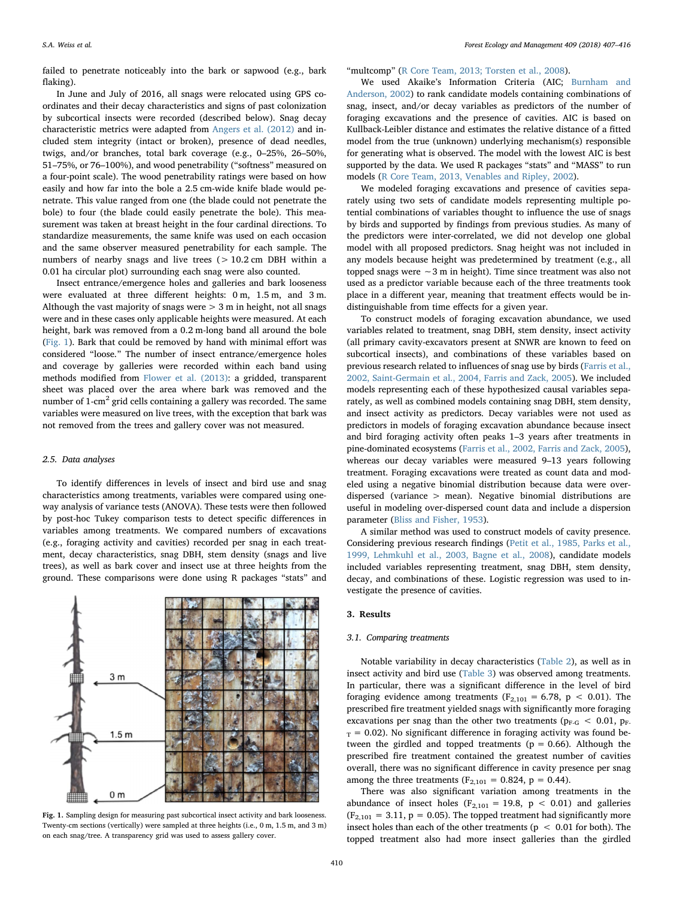failed to penetrate noticeably into the bark or sapwood (e.g., bark flaking).

In June and July of 2016, all snags were relocated using GPS coordinates and their decay characteristics and signs of past colonization by subcortical insects were recorded (described below). Snag decay characteristic metrics were adapted from [Angers et al. \(2012\)](#page-9-26) and included stem integrity (intact or broken), presence of dead needles, twigs, and/or branches, total bark coverage (e.g., 0–25%, 26–50%, 51–75%, or 76–100%), and wood penetrability ("softness" measured on a four-point scale). The wood penetrability ratings were based on how easily and how far into the bole a 2.5 cm-wide knife blade would penetrate. This value ranged from one (the blade could not penetrate the bole) to four (the blade could easily penetrate the bole). This measurement was taken at breast height in the four cardinal directions. To standardize measurements, the same knife was used on each occasion and the same observer measured penetrability for each sample. The numbers of nearby snags and live trees  $(> 10.2 \text{ cm}$  DBH within a 0.01 ha circular plot) surrounding each snag were also counted.

Insect entrance/emergence holes and galleries and bark looseness were evaluated at three different heights: 0 m, 1.5 m, and 3 m. Although the vast majority of snags were  $> 3$  m in height, not all snags were and in these cases only applicable heights were measured. At each height, bark was removed from a 0.2 m-long band all around the bole ([Fig. 1\)](#page-4-0). Bark that could be removed by hand with minimal effort was considered "loose." The number of insect entrance/emergence holes and coverage by galleries were recorded within each band using methods modified from [Flower et al. \(2013\):](#page-9-27) a gridded, transparent sheet was placed over the area where bark was removed and the number of  $1$ -cm<sup>2</sup> grid cells containing a gallery was recorded. The same variables were measured on live trees, with the exception that bark was not removed from the trees and gallery cover was not measured.

#### 2.5. Data analyses

To identify differences in levels of insect and bird use and snag characteristics among treatments, variables were compared using oneway analysis of variance tests (ANOVA). These tests were then followed by post-hoc Tukey comparison tests to detect specific differences in variables among treatments. We compared numbers of excavations (e.g., foraging activity and cavities) recorded per snag in each treatment, decay characteristics, snag DBH, stem density (snags and live trees), as well as bark cover and insect use at three heights from the ground. These comparisons were done using R packages "stats" and

<span id="page-4-0"></span>

Fig. 1. Sampling design for measuring past subcortical insect activity and bark looseness. Twenty-cm sections (vertically) were sampled at three heights (i.e., 0 m, 1.5 m, and 3 m) on each snag/tree. A transparency grid was used to assess gallery cover.

"multcomp" [\(R Core Team, 2013; Torsten et al., 2008](#page-10-11)).

We used Akaike's Information Criteria (AIC; [Burnham and](#page-9-28) [Anderson, 2002\)](#page-9-28) to rank candidate models containing combinations of snag, insect, and/or decay variables as predictors of the number of foraging excavations and the presence of cavities. AIC is based on Kullback-Leibler distance and estimates the relative distance of a fitted model from the true (unknown) underlying mechanism(s) responsible for generating what is observed. The model with the lowest AIC is best supported by the data. We used R packages "stats" and "MASS" to run models [\(R Core Team, 2013, Venables and Ripley, 2002\)](#page-10-11).

We modeled foraging excavations and presence of cavities separately using two sets of candidate models representing multiple potential combinations of variables thought to influence the use of snags by birds and supported by findings from previous studies. As many of the predictors were inter-correlated, we did not develop one global model with all proposed predictors. Snag height was not included in any models because height was predetermined by treatment (e.g., all topped snags were ∼3 m in height). Time since treatment was also not used as a predictor variable because each of the three treatments took place in a different year, meaning that treatment effects would be indistinguishable from time effects for a given year.

To construct models of foraging excavation abundance, we used variables related to treatment, snag DBH, stem density, insect activity (all primary cavity-excavators present at SNWR are known to feed on subcortical insects), and combinations of these variables based on previous research related to influences of snag use by birds [\(Farris et al.,](#page-9-8) [2002, Saint-Germain et al., 2004, Farris and Zack, 2005\)](#page-9-8). We included models representing each of these hypothesized causal variables separately, as well as combined models containing snag DBH, stem density, and insect activity as predictors. Decay variables were not used as predictors in models of foraging excavation abundance because insect and bird foraging activity often peaks 1–3 years after treatments in pine-dominated ecosystems ([Farris et al., 2002, Farris and Zack, 2005](#page-9-8)), whereas our decay variables were measured 9–13 years following treatment. Foraging excavations were treated as count data and modeled using a negative binomial distribution because data were overdispersed (variance > mean). Negative binomial distributions are useful in modeling over-dispersed count data and include a dispersion parameter [\(Bliss and Fisher, 1953](#page-9-29)).

A similar method was used to construct models of cavity presence. Considering previous research findings ([Petit et al., 1985, Parks et al.,](#page-10-5) [1999, Lehmkuhl et al., 2003, Bagne et al., 2008\)](#page-10-5), candidate models included variables representing treatment, snag DBH, stem density, decay, and combinations of these. Logistic regression was used to investigate the presence of cavities.

## 3. Results

#### 3.1. Comparing treatments

Notable variability in decay characteristics [\(Table 2\)](#page-5-0), as well as in insect activity and bird use ([Table 3](#page-5-1)) was observed among treatments. In particular, there was a significant difference in the level of bird foraging evidence among treatments ( $F_{2,101} = 6.78$ ,  $p < 0.01$ ). The prescribed fire treatment yielded snags with significantly more foraging excavations per snag than the other two treatments ( $p_{F-G} < 0.01$ ,  $p_{F-F}$ )  $T_{\rm T}$  = 0.02). No significant difference in foraging activity was found between the girdled and topped treatments ( $p = 0.66$ ). Although the prescribed fire treatment contained the greatest number of cavities overall, there was no significant difference in cavity presence per snag among the three treatments ( $F_{2,101} = 0.824$ ,  $p = 0.44$ ).

There was also significant variation among treatments in the abundance of insect holes ( $F_{2,101} = 19.8$ ,  $p < 0.01$ ) and galleries  $(F_{2,101} = 3.11, p = 0.05)$ . The topped treatment had significantly more insect holes than each of the other treatments ( $p < 0.01$  for both). The topped treatment also had more insect galleries than the girdled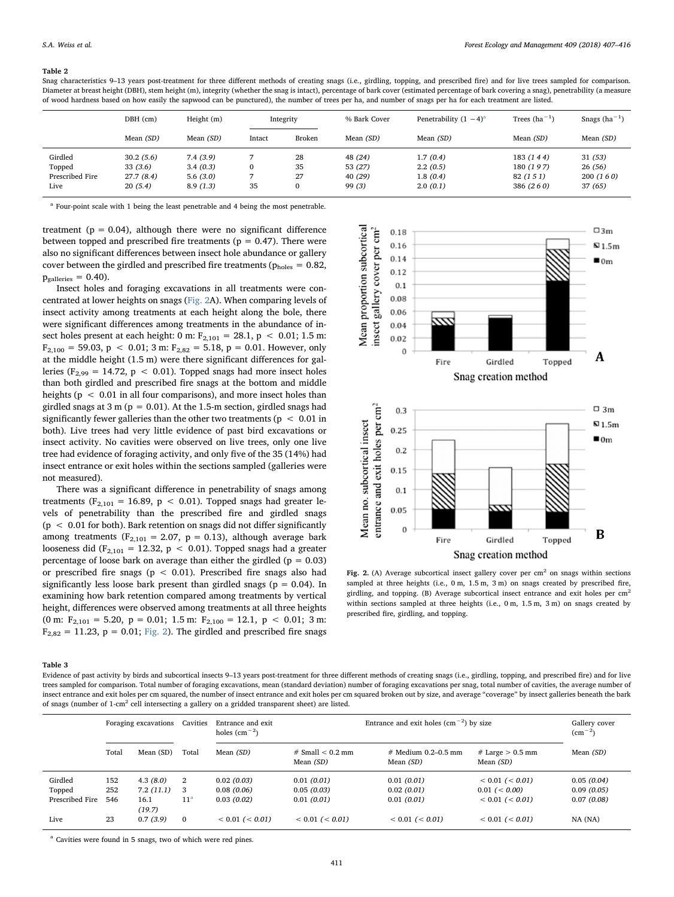#### <span id="page-5-0"></span>Table 2

Snag characteristics 9–13 years post-treatment for three different methods of creating snags (i.e., girdling, topping, and prescribed fire) and for live trees sampled for comparison. Diameter at breast height (DBH), stem height (m), integrity (whether the snag is intact), percentage of bark cover (estimated percentage of bark covering a snag), penetrability (a measure of wood hardness based on how easily the sapwood can be punctured), the number of trees per ha, and number of snags per ha for each treatment are listed.

|                 | DBH (cm)    | Height (m) |              | Integrity | % Bark Cover     | Penetrability $(1 - 4)^a$ | Trees $(ha^{-1})$ | Snags $(ha^{-1})$ |
|-----------------|-------------|------------|--------------|-----------|------------------|---------------------------|-------------------|-------------------|
|                 | Mean $(SD)$ | Mean (SD)  | Intact       | Broken    | Mean <i>(SD)</i> | Mean <i>(SD)</i>          | Mean <i>(SD)</i>  | Mean (SD)         |
| Girdled         | 30.2(5.6)   | 7.4(3.9)   |              | 28        | 48 (24)          | 1.7(0.4)                  | 183 (144)         | 31(53)            |
| Topped          | 33 (3.6)    | 3.4(0.3)   | $\mathbf{0}$ | 35        | 53 (27)          | 2.2(0.5)                  | 180 (197)         | 26(56)            |
| Prescribed Fire | 27.7 (8.4)  | 5.6(3.0)   |              | 27        | 40(29)           | 1.8(0.4)                  | 82 (1 5 1)        | 200(160)          |
| Live            | 20(5.4)     | 8.9(1.3)   | 35           | $\bf{0}$  | 99 (3)           | 2.0(0.1)                  | 386 (260)         | 37 (65)           |
|                 |             |            |              |           |                  |                           |                   |                   |

<span id="page-5-3"></span><sup>a</sup> Four-point scale with 1 being the least penetrable and 4 being the most penetrable.

treatment ( $p = 0.04$ ), although there were no significant difference between topped and prescribed fire treatments ( $p = 0.47$ ). There were also no significant differences between insect hole abundance or gallery cover between the girdled and prescribed fire treatments ( $p_{\text{holes}} = 0.82$ ,  $p<sub>galleries</sub> = 0.40$ ).

Insect holes and foraging excavations in all treatments were concentrated at lower heights on snags ([Fig. 2](#page-5-2)A). When comparing levels of insect activity among treatments at each height along the bole, there were significant differences among treatments in the abundance of insect holes present at each height: 0 m:  $F_{2,101} = 28.1, p < 0.01; 1.5 m$ :  $F_{2,100} = 59.03$ ,  $p < 0.01$ ; 3 m:  $F_{2,82} = 5.18$ ,  $p = 0.01$ . However, only at the middle height (1.5 m) were there significant differences for galleries ( $F_{2,99}$  = 14.72, p < 0.01). Topped snags had more insect holes than both girdled and prescribed fire snags at the bottom and middle heights ( $p < 0.01$  in all four comparisons), and more insect holes than girdled snags at  $3 \text{ m}$  ( $p = 0.01$ ). At the 1.5-m section, girdled snags had significantly fewer galleries than the other two treatments ( $p < 0.01$  in both). Live trees had very little evidence of past bird excavations or insect activity. No cavities were observed on live trees, only one live tree had evidence of foraging activity, and only five of the 35 (14%) had insect entrance or exit holes within the sections sampled (galleries were not measured).

There was a significant difference in penetrability of snags among treatments ( $F_{2,101} = 16.89$ ,  $p < 0.01$ ). Topped snags had greater levels of penetrability than the prescribed fire and girdled snags  $(p < 0.01$  for both). Bark retention on snags did not differ significantly among treatments ( $F_{2,101} = 2.07$ ,  $p = 0.13$ ), although average bark looseness did (F<sub>2,101</sub> = 12.32, p < 0.01). Topped snags had a greater percentage of loose bark on average than either the girdled ( $p = 0.03$ ) or prescribed fire snags ( $p < 0.01$ ). Prescribed fire snags also had significantly less loose bark present than girdled snags ( $p = 0.04$ ). In examining how bark retention compared among treatments by vertical height, differences were observed among treatments at all three heights (0 m:  $F_{2,101} = 5.20$ , p = 0.01; 1.5 m:  $F_{2,100} = 12.1$ , p < 0.01; 3 m:  $F_{2,82} = 11.23$ ,  $p = 0.01$ ; [Fig. 2](#page-5-2)). The girdled and prescribed fire snags

<span id="page-5-2"></span>

Fig. 2. (A) Average subcortical insect gallery cover per  $cm<sup>2</sup>$  on snags within sections sampled at three heights (i.e., 0 m, 1.5 m, 3 m) on snags created by prescribed fire, girdling, and topping. (B) Average subcortical insect entrance and exit holes per  $cm<sup>2</sup>$ within sections sampled at three heights (i.e., 0 m, 1.5 m, 3 m) on snags created by prescribed fire, girdling, and topping.

#### <span id="page-5-1"></span>Table 3

Evidence of past activity by birds and subcortical insects 9–13 years post-treatment for three different methods of creating snags (i.e., girdling, topping, and prescribed fire) and for live trees sampled for comparison. Total number of foraging excavations, mean (standard deviation) number of foraging excavations per snag, total number of cavities, the average number of insect entrance and exit holes per cm squared, the number of insect entrance and exit holes per cm squared broken out by size, and average "coverage" by insect galleries beneath the bark of snags (number of 1-cm2 cell intersecting a gallery on a gridded transparent sheet) are listed.

|                 |       | Foraging excavations | Cavities        | Entrance and exit<br>holes $\rm (cm^{-2})$ |                                          | Entrance and exit holes $\text{(cm}^{-2}\text{)}$ by size |                                   | Gallery cover<br>$\rm (cm^{-2})$ |
|-----------------|-------|----------------------|-----------------|--------------------------------------------|------------------------------------------|-----------------------------------------------------------|-----------------------------------|----------------------------------|
|                 | Total | Mean (SD)            | Total           | Mean $(SD)$                                | $#$ Small $< 0.2$ mm<br>Mean <i>(SD)</i> | $#$ Medium 0.2–0.5 mm<br>Mean (SD)                        | $#$ Large $> 0.5$ mm<br>Mean (SD) | Mean (SD)                        |
| Girdled         | 152   | 4.3(8.0)             | 2               | 0.02(0.03)                                 | 0.01(0.01)                               | 0.01(0.01)                                                | $< 0.01$ ( $< 0.01$ )             | 0.05(0.04)                       |
| Topped          | 252   | 7.2(11.1)            | 3               | 0.08(0.06)                                 | 0.05(0.03)                               | 0.02(0.01)                                                | $0.01$ ( $< 0.00$ )               | 0.09(0.05)                       |
| Prescribed Fire | 546   | 16.1<br>(19.7)       | 11 <sup>a</sup> | 0.03(0.02)                                 | 0.01(0.01)                               | 0.01(0.01)                                                | $< 0.01$ ( $< 0.01$ )             | 0.07(0.08)                       |
| Live            | 23    | 0.7(3.9)             | $\mathbf{0}$    | $< 0.01$ ( $< 0.01$ )                      | $< 0.01$ ( $< 0.01$ )                    | $< 0.01$ ( $< 0.01$ )                                     | $< 0.01$ ( $< 0.01$ )             | $NA$ ( $NA$ )                    |

<span id="page-5-4"></span><sup>a</sup> Cavities were found in 5 snags, two of which were red pines.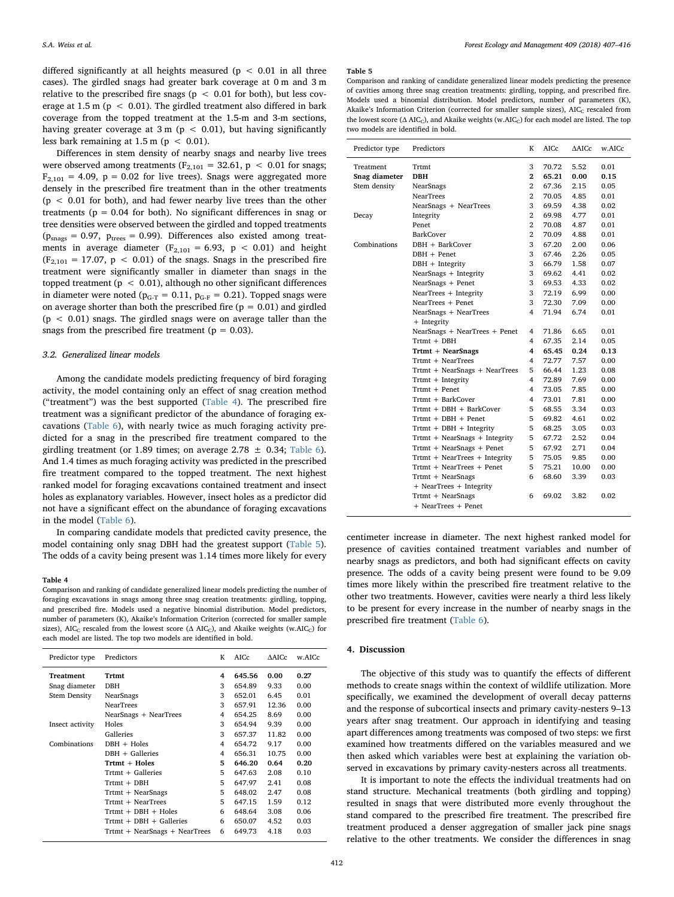differed significantly at all heights measured ( $p < 0.01$  in all three cases). The girdled snags had greater bark coverage at 0 m and 3 m relative to the prescribed fire snags ( $p < 0.01$  for both), but less coverage at 1.5 m ( $p < 0.01$ ). The girdled treatment also differed in bark coverage from the topped treatment at the 1.5-m and 3-m sections, having greater coverage at  $3 \text{ m}$  (p < 0.01), but having significantly less bark remaining at  $1.5$  m ( $p < 0.01$ ).

Differences in stem density of nearby snags and nearby live trees were observed among treatments ( $F_{2,101} = 32.61$ ,  $p < 0.01$  for snags;  $F_{2,101} = 4.09$ ,  $p = 0.02$  for live trees). Snags were aggregated more densely in the prescribed fire treatment than in the other treatments  $(p < 0.01$  for both), and had fewer nearby live trees than the other treatments ( $p = 0.04$  for both). No significant differences in snag or tree densities were observed between the girdled and topped treatments  $(p_{\text{snags}} = 0.97, p_{\text{trees}} = 0.99)$ . Differences also existed among treatments in average diameter ( $F_{2,101} = 6.93$ ,  $p < 0.01$ ) and height  $(F_{2,101} = 17.07, p < 0.01)$  of the snags. Snags in the prescribed fire treatment were significantly smaller in diameter than snags in the topped treatment ( $p < 0.01$ ), although no other significant differences in diameter were noted ( $p_{G-T} = 0.11$ ,  $p_{G-F} = 0.21$ ). Topped snags were on average shorter than both the prescribed fire  $(p = 0.01)$  and girdled  $(p < 0.01)$  snags. The girdled snags were on average taller than the snags from the prescribed fire treatment ( $p = 0.03$ ).

## 3.2. Generalized linear models

Among the candidate models predicting frequency of bird foraging activity, the model containing only an effect of snag creation method ("treatment") was the best supported ([Table 4\)](#page-6-0). The prescribed fire treatment was a significant predictor of the abundance of foraging excavations ([Table 6](#page-7-0)), with nearly twice as much foraging activity predicted for a snag in the prescribed fire treatment compared to the girdling treatment (or 1.89 times; on average 2.78  $\pm$  0.34; [Table 6](#page-7-0)). And 1.4 times as much foraging activity was predicted in the prescribed fire treatment compared to the topped treatment. The next highest ranked model for foraging excavations contained treatment and insect holes as explanatory variables. However, insect holes as a predictor did not have a significant effect on the abundance of foraging excavations in the model ([Table 6](#page-7-0)).

In comparing candidate models that predicted cavity presence, the model containing only snag DBH had the greatest support [\(Table 5](#page-6-1)). The odds of a cavity being present was 1.14 times more likely for every

#### <span id="page-6-0"></span>Table 4

Comparison and ranking of candidate generalized linear models predicting the number of foraging excavations in snags among three snag creation treatments: girdling, topping, and prescribed fire. Models used a negative binomial distribution. Model predictors, number of parameters (K), Akaike's Information Criterion (corrected for smaller sample sizes), AIC<sub>C</sub> rescaled from the lowest score  $($  $\wedge$  AIC<sub>C</sub>), and Akaike weights (w.AIC<sub>C</sub>) for each model are listed. The top two models are identified in bold.

| Predictor type      | Predictors                    | K | AICc   | $\triangle$ AICc | w.AICc |
|---------------------|-------------------------------|---|--------|------------------|--------|
| Treatment           | Trtmt                         | 4 | 645.56 | 0.00             | 0.27   |
| Snag diameter       | DBH                           | 3 | 654.89 | 9.33             | 0.00   |
| <b>Stem Density</b> | NearSnags                     | 3 | 652.01 | 6.45             | 0.01   |
|                     | <b>NearTrees</b>              | 3 | 657.91 | 12.36            | 0.00   |
|                     | NearSnags + NearTrees         | 4 | 654.25 | 8.69             | 0.00   |
| Insect activity     | Holes                         | 3 | 654.94 | 9.39             | 0.00   |
|                     | Galleries                     | 3 | 657.37 | 11.82            | 0.00   |
| Combinations        | $DBH + Holes$                 | 4 | 654.72 | 9.17             | 0.00   |
|                     | $DBH + Galleries$             | 4 | 656.31 | 10.75            | 0.00   |
|                     | Trtmt + Holes                 | 5 | 646.20 | 0.64             | 0.20   |
|                     | $Trtmt + Galleries$           | 5 | 647.63 | 2.08             | 0.10   |
|                     | Trtmt + DBH                   | 5 | 647.97 | 2.41             | 0.08   |
|                     | Trtmt + NearSnags             | 5 | 648.02 | 2.47             | 0.08   |
|                     | Trtmt + NearTrees             | 5 | 647.15 | 1.59             | 0.12   |
|                     | $Trtmt + DBH + Holes$         | 6 | 648.64 | 3.08             | 0.06   |
|                     | Trtmt + DBH + Galleries       | 6 | 650.07 | 4.52             | 0.03   |
|                     | Trtmt + NearSnags + NearTrees | 6 | 649.73 | 4.18             | 0.03   |

#### <span id="page-6-1"></span>Table 5

Comparison and ranking of candidate generalized linear models predicting the presence of cavities among three snag creation treatments: girdling, topping, and prescribed fire. Models used a binomial distribution. Model predictors, number of parameters (K), Akaike's Information Criterion (corrected for smaller sample sizes),  $AIC_C$  rescaled from the lowest score ( $\triangle$  AIC<sub>C</sub>), and Akaike weights (w.AIC<sub>C</sub>) for each model are listed. The top two models are identified in bold.

| Predictor type | Predictors                    | K              | AICc  | <b>AAICc</b> | w.AICc |
|----------------|-------------------------------|----------------|-------|--------------|--------|
| Treatment      | Trtmt                         | 3              | 70.72 | 5.52         | 0.01   |
| Snag diameter  | <b>DBH</b>                    | $\mathbf{2}$   | 65.21 | 0.00         | 0.15   |
| Stem density   | NearSnags                     | $\overline{2}$ | 67.36 | 2.15         | 0.05   |
|                | <b>NearTrees</b>              | $\overline{2}$ | 70.05 | 4.85         | 0.01   |
|                | NearSnags + NearTrees         | 3              | 69.59 | 4.38         | 0.02   |
| Decay          | Integrity                     | $\overline{2}$ | 69.98 | 4.77         | 0.01   |
|                | Penet                         | $\overline{2}$ | 70.08 | 4.87         | 0.01   |
|                | <b>BarkCover</b>              | $\overline{2}$ | 70.09 | 4.88         | 0.01   |
| Combinations   | $DBH + BarkCover$             | 3              | 67.20 | 2.00         | 0.06   |
|                | $DBH + Penet$                 | 3              | 67.46 | 2.26         | 0.05   |
|                | $DBH + Integrity$             | 3              | 66.79 | 1.58         | 0.07   |
|                | NearSnags + Integrity         | 3              | 69.62 | 4.41         | 0.02   |
|                | NearSnags + Penet             | 3              | 69.53 | 4.33         | 0.02   |
|                | NearTrees + Integrity         | 3              | 72.19 | 6.99         | 0.00   |
|                | NearTrees + Penet             | 3              | 72.30 | 7.09         | 0.00   |
|                | NearSnags + NearTrees         | 4              | 71.94 | 6.74         | 0.01   |
|                | + Integrity                   |                |       |              |        |
|                | NearSnags + NearTrees + Penet | 4              | 71.86 | 6.65         | 0.01   |
|                | $Trtmt + DBH$                 | $\overline{4}$ | 67.35 | 2.14         | 0.05   |
|                | $Trtmt + NearSnags$           | 4              | 65.45 | 0.24         | 0.13   |
|                | Trtmt + NearTrees             | $\overline{4}$ | 72.77 | 7.57         | 0.00   |
|                | Trtmt + NearSnags + NearTrees | 5              | 66.44 | 1.23         | 0.08   |
|                | $Trtmt + Integrity$           | $\overline{4}$ | 72.89 | 7.69         | 0.00   |
|                | $Trtmt + Penet$               | 4              | 73.05 | 7.85         | 0.00   |
|                | $Trtmt + BarkCover$           | 4              | 73.01 | 7.81         | 0.00   |
|                | $Trtmt + DBH + BarkCover$     | 5              | 68.55 | 3.34         | 0.03   |
|                | $Trtmt + DBH + Penet$         | 5              | 69.82 | 4.61         | 0.02   |
|                | $Trtmt + DBH + Integrity$     | 5              | 68.25 | 3.05         | 0.03   |
|                | Trtmt + NearSnags + Integrity | 5              | 67.72 | 2.52         | 0.04   |
|                | Trtmt + NearSnags + Penet     | 5              | 67.92 | 2.71         | 0.04   |
|                | Trtmt + NearTrees + Integrity | 5              | 75.05 | 9.85         | 0.00   |
|                | Trtmt + NearTrees + Penet     | 5              | 75.21 | 10.00        | 0.00   |
|                | Trtmt + NearSnags             | 6              | 68.60 | 3.39         | 0.03   |
|                | + NearTrees + Integrity       |                |       |              |        |
|                | Trtmt + NearSnags             | 6              | 69.02 | 3.82         | 0.02   |
|                | + NearTrees + Penet           |                |       |              |        |

centimeter increase in diameter. The next highest ranked model for presence of cavities contained treatment variables and number of nearby snags as predictors, and both had significant effects on cavity presence. The odds of a cavity being present were found to be 9.09 times more likely within the prescribed fire treatment relative to the other two treatments. However, cavities were nearly a third less likely to be present for every increase in the number of nearby snags in the prescribed fire treatment ([Table 6](#page-7-0)).

### 4. Discussion

The objective of this study was to quantify the effects of different methods to create snags within the context of wildlife utilization. More specifically, we examined the development of overall decay patterns and the response of subcortical insects and primary cavity-nesters 9–13 years after snag treatment. Our approach in identifying and teasing apart differences among treatments was composed of two steps: we first examined how treatments differed on the variables measured and we then asked which variables were best at explaining the variation observed in excavations by primary cavity-nesters across all treatments.

It is important to note the effects the individual treatments had on stand structure. Mechanical treatments (both girdling and topping) resulted in snags that were distributed more evenly throughout the stand compared to the prescribed fire treatment. The prescribed fire treatment produced a denser aggregation of smaller jack pine snags relative to the other treatments. We consider the differences in snag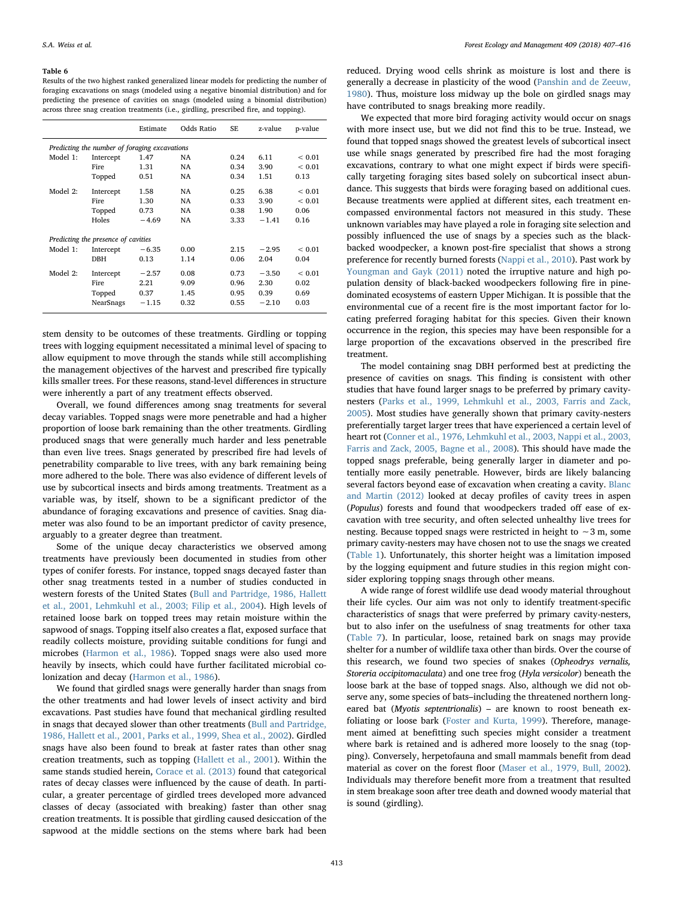#### <span id="page-7-0"></span>Table 6

Results of the two highest ranked generalized linear models for predicting the number of foraging excavations on snags (modeled using a negative binomial distribution) and for predicting the presence of cavities on snags (modeled using a binomial distribution) across three snag creation treatments (i.e., girdling, prescribed fire, and topping).

|          |                                               | Estimate | Odds Ratio | <b>SE</b> | z-value | p-value       |
|----------|-----------------------------------------------|----------|------------|-----------|---------|---------------|
|          | Predicting the number of foraging excavations |          |            |           |         |               |
| Model 1: | Intercept                                     | 1.47     | NA         | 0.24      | 6.11    | ${}_{0.01}$   |
|          | <b>Fire</b>                                   | 1.31     | NA         | 0.34      | 3.90    | ${}_{0.01}$   |
|          | Topped                                        | 0.51     | NA         | 0.34      | 1.51    | 0.13          |
| Model 2: | Intercept                                     | 1.58     | NA         | 0.25      | 6.38    | ${}_{0.01}$   |
|          | <b>Fire</b>                                   | 1.30     | NA         | 0.33      | 3.90    | ${}_{< 0.01}$ |
|          | Topped                                        | 0.73     | NA         | 0.38      | 1.90    | 0.06          |
|          | Holes                                         | $-4.69$  | NA         | 3.33      | $-1.41$ | 0.16          |
|          | Predicting the presence of cavities           |          |            |           |         |               |
| Model 1: | Intercept                                     | $-6.35$  | 0.00       | 2.15      | $-2.95$ | ${}_{0.01}$   |
|          | <b>DBH</b>                                    | 0.13     | 1.14       | 0.06      | 2.04    | 0.04          |
| Model 2: | Intercept                                     | $-2.57$  | 0.08       | 0.73      | $-3.50$ | ${}_{< 0.01}$ |
|          | <b>Fire</b>                                   | 2.21     | 9.09       | 0.96      | 2.30    | 0.02          |
|          | Topped                                        | 0.37     | 1.45       | 0.95      | 0.39    | 0.69          |
|          | NearSnags                                     | $-1.15$  | 0.32       | 0.55      | $-2.10$ | 0.03          |

stem density to be outcomes of these treatments. Girdling or topping trees with logging equipment necessitated a minimal level of spacing to allow equipment to move through the stands while still accomplishing the management objectives of the harvest and prescribed fire typically kills smaller trees. For these reasons, stand-level differences in structure were inherently a part of any treatment effects observed.

Overall, we found differences among snag treatments for several decay variables. Topped snags were more penetrable and had a higher proportion of loose bark remaining than the other treatments. Girdling produced snags that were generally much harder and less penetrable than even live trees. Snags generated by prescribed fire had levels of penetrability comparable to live trees, with any bark remaining being more adhered to the bole. There was also evidence of different levels of use by subcortical insects and birds among treatments. Treatment as a variable was, by itself, shown to be a significant predictor of the abundance of foraging excavations and presence of cavities. Snag diameter was also found to be an important predictor of cavity presence, arguably to a greater degree than treatment.

Some of the unique decay characteristics we observed among treatments have previously been documented in studies from other types of conifer forests. For instance, topped snags decayed faster than other snag treatments tested in a number of studies conducted in western forests of the United States ([Bull and Partridge, 1986, Hallett](#page-9-11) [et al., 2001, Lehmkuhl et al., 2003; Filip et al., 2004](#page-9-11)). High levels of retained loose bark on topped trees may retain moisture within the sapwood of snags. Topping itself also creates a flat, exposed surface that readily collects moisture, providing suitable conditions for fungi and microbes [\(Harmon et al., 1986](#page-9-0)). Topped snags were also used more heavily by insects, which could have further facilitated microbial colonization and decay [\(Harmon et al., 1986\)](#page-9-0).

We found that girdled snags were generally harder than snags from the other treatments and had lower levels of insect activity and bird excavations. Past studies have found that mechanical girdling resulted in snags that decayed slower than other treatments [\(Bull and Partridge,](#page-9-11) [1986, Hallett et al., 2001, Parks et al., 1999, Shea et al., 2002\)](#page-9-11). Girdled snags have also been found to break at faster rates than other snag creation treatments, such as topping [\(Hallett et al., 2001](#page-9-30)). Within the same stands studied herein, [Corace et al. \(2013\)](#page-9-12) found that categorical rates of decay classes were influenced by the cause of death. In particular, a greater percentage of girdled trees developed more advanced classes of decay (associated with breaking) faster than other snag creation treatments. It is possible that girdling caused desiccation of the sapwood at the middle sections on the stems where bark had been

reduced. Drying wood cells shrink as moisture is lost and there is generally a decrease in plasticity of the wood ([Panshin and de Zeeuw,](#page-10-12) [1980\)](#page-10-12). Thus, moisture loss midway up the bole on girdled snags may have contributed to snags breaking more readily.

We expected that more bird foraging activity would occur on snags with more insect use, but we did not find this to be true. Instead, we found that topped snags showed the greatest levels of subcortical insect use while snags generated by prescribed fire had the most foraging excavations, contrary to what one might expect if birds were specifically targeting foraging sites based solely on subcortical insect abundance. This suggests that birds were foraging based on additional cues. Because treatments were applied at different sites, each treatment encompassed environmental factors not measured in this study. These unknown variables may have played a role in foraging site selection and possibly influenced the use of snags by a species such as the blackbacked woodpecker, a known post-fire specialist that shows a strong preference for recently burned forests ([Nappi et al., 2010](#page-10-13)). Past work by [Youngman and Gayk \(2011\)](#page-10-14) noted the irruptive nature and high population density of black-backed woodpeckers following fire in pinedominated ecosystems of eastern Upper Michigan. It is possible that the environmental cue of a recent fire is the most important factor for locating preferred foraging habitat for this species. Given their known occurrence in the region, this species may have been responsible for a large proportion of the excavations observed in the prescribed fire treatment.

The model containing snag DBH performed best at predicting the presence of cavities on snags. This finding is consistent with other studies that have found larger snags to be preferred by primary cavitynesters ([Parks et al., 1999, Lehmkuhl et al., 2003, Farris and Zack,](#page-10-12) [2005\)](#page-10-12). Most studies have generally shown that primary cavity-nesters preferentially target larger trees that have experienced a certain level of heart rot ([Conner et al., 1976, Lehmkuhl et al., 2003, Nappi et al., 2003,](#page-9-31) [Farris and Zack, 2005, Bagne et al., 2008\)](#page-9-31). This should have made the topped snags preferable, being generally larger in diameter and potentially more easily penetrable. However, birds are likely balancing several factors beyond ease of excavation when creating a cavity. [Blanc](#page-9-32) [and Martin \(2012\)](#page-9-32) looked at decay profiles of cavity trees in aspen (Populus) forests and found that woodpeckers traded off ease of excavation with tree security, and often selected unhealthy live trees for nesting. Because topped snags were restricted in height to ∼3 m, some primary cavity-nesters may have chosen not to use the snags we created ([Table 1](#page-3-0)). Unfortunately, this shorter height was a limitation imposed by the logging equipment and future studies in this region might consider exploring topping snags through other means.

A wide range of forest wildlife use dead woody material throughout their life cycles. Our aim was not only to identify treatment-specific characteristics of snags that were preferred by primary cavity-nesters, but to also infer on the usefulness of snag treatments for other taxa ([Table 7\)](#page-8-0). In particular, loose, retained bark on snags may provide shelter for a number of wildlife taxa other than birds. Over the course of this research, we found two species of snakes (Opheodrys vernalis, Storeria occipitomaculata) and one tree frog (Hyla versicolor) beneath the loose bark at the base of topped snags. Also, although we did not observe any, some species of bats–including the threatened northern longeared bat (Myotis septentrionalis) – are known to roost beneath exfoliating or loose bark [\(Foster and Kurta, 1999](#page-9-33)). Therefore, management aimed at benefitting such species might consider a treatment where bark is retained and is adhered more loosely to the snag (topping). Conversely, herpetofauna and small mammals benefit from dead material as cover on the forest floor ([Maser et al., 1979, Bull, 2002](#page-10-15)). Individuals may therefore benefit more from a treatment that resulted in stem breakage soon after tree death and downed woody material that is sound (girdling).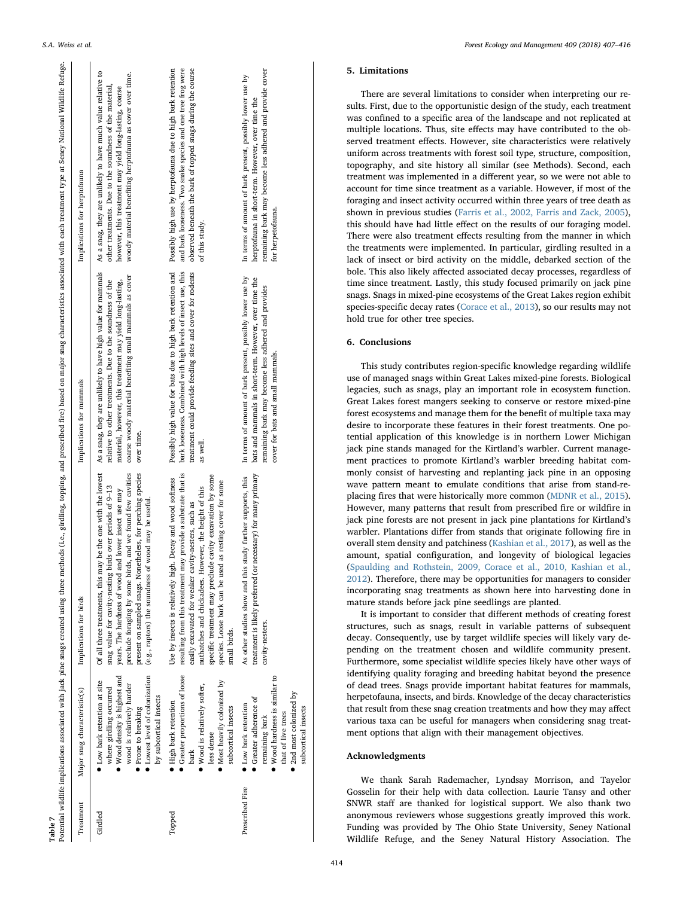<span id="page-8-0"></span>

| Table 7         |                                                                                                                                                                                                      | Potential wildlife implications associated with jack pine snags created using three methods (i.e., girdling, topping, and prescribed fire) based on major snag characteristics associated with each treatment type at Seney Na                                                                                                                                                         |                                                                                                                                                                                                                                                                |                                                                                                                                                                                                                                               |
|-----------------|------------------------------------------------------------------------------------------------------------------------------------------------------------------------------------------------------|----------------------------------------------------------------------------------------------------------------------------------------------------------------------------------------------------------------------------------------------------------------------------------------------------------------------------------------------------------------------------------------|----------------------------------------------------------------------------------------------------------------------------------------------------------------------------------------------------------------------------------------------------------------|-----------------------------------------------------------------------------------------------------------------------------------------------------------------------------------------------------------------------------------------------|
| Treatment       | Major snag characteristic(s)                                                                                                                                                                         | Implications for birds                                                                                                                                                                                                                                                                                                                                                                 | Implications for mammals                                                                                                                                                                                                                                       | Implications for herptofauna                                                                                                                                                                                                                  |
| Girdled         | Lowest level of colonization<br>• Wood density is highest and<br>• Low bark retention at site<br>wood is relatively harder<br>where girdling occurred<br>by subcortical insects<br>Prone to breaking | Of all three treatments, this may be the one with the lowest<br>present on sampled snags. Nonetheless, for perching species<br>preclude foraging by some birds, and we found few cavities<br>snag value for cavity-nesting birds over periods of 9-13<br>years. The hardness of wood and lower insect use may<br>(e.g., raptors) the soundness of wood may be useful.                  | As a snag, they are unlikely to have high value for mammals<br>coarse woody material benefiting small mammals as cover<br>material, however, this treatment may yield long-lasting,<br>relative to other treatments. Due to the soundness of the<br>over time. | As a snag, they are unlikely to have much value relative to<br>woody material benefiting herptofauna as cover over time.<br>other treatments. Due to the soundness of the material,<br>however, this treatment may yield long-lasting, coarse |
| Topped          | Greater proportions of loose<br>• Most heavily colonized by<br>• Wood is relatively softer,<br>· High bark retention<br>subcortical insects<br>less dense<br>bark                                    | resulting from this treatment may provide a substrate that is<br>specific treatment may preclude cavity excavation by some<br>Use by insects is relatively high. Decay and wood softness<br>species. Loose bark can be used as resting cover for some<br>nuthatches and chickadees. However, the height of this<br>easily excavated for weaker cavity-nesters, such as<br>small birds. | treatment could provide feeding sites and cover for rodents<br>Possibly high value for bats due to high bark retention and<br>bark looseness. Combined with high levels of insect use, this<br>as well.                                                        | Possibly high use by herptofauna due to high bark retention<br>and bark looseness. Two snake species and one tree frog were<br>observed beneath the bark of topped snags during the course<br>of this study.                                  |
| Prescribed Fire | • Wood hardness is similar to<br>2nd most colonized by<br>Greater adherence of<br>• Low bark retention<br>subcortical insects<br>that of live trees<br>remaining bark                                | necessary) for many primary<br>study further supports, this<br>As other studies show and this<br>treatment is likely preferred (or<br>cavity-nesters.                                                                                                                                                                                                                                  | In terms of amount of bark present, possibly lower use by<br>bats and mammals in short-term. However, over time the<br>remaining bark may become less adhered and provides<br>cover for bats and small mammals.                                                | remaining bark may become less adhered and provide cover<br>In terms of amount of bark present, possibly lower use by<br>herptofauna in short-term. However, over time the<br>for herpetofauna.                                               |

# 5. Limitations

There are several limitations to consider when interpreting our results. First, due to the opportunistic design of the study, each treatment was confined to a specific area of the landscape and not replicated at multiple locations. Thus, site effects may have contributed to the observed treatment effects. However, site characteristics were relatively uniform across treatments with forest soil type, structure, composition, topography, and site history all similar (see Methods). Second, each treatment was implemented in a different year, so we were not able to account for time since treatment as a variable. However, if most of the foraging and insect activity occurred within three years of tree death as shown in previous studies [\(Farris et al., 2002, Farris and Zack, 2005](#page-9-8)), this should have had little effect on the results of our foraging model. There were also treatment effects resulting from the manner in which the treatments were implemented. In particular, girdling resulted in a lack of insect or bird activity on the middle, debarked section of the bole. This also likely affected associated decay processes, regardless of time since treatment. Lastly, this study focused primarily on jack pine snags. Snags in mixed-pine ecosystems of the Great Lakes region exhibit species-specific decay rates ([Corace et al., 2013\)](#page-9-12), so our results may not hold true for other tree species.

# 6. Conclusions

This study contributes region-specific knowledge regarding wildlife use of managed snags within Great Lakes mixed-pine forests. Biological legacies, such as snags, play an important role in ecosystem function. Great Lakes forest mangers seeking to conserve or restore mixed-pine forest ecosystems and manage them for the benefit of multiple taxa may desire to incorporate these features in their forest treatments. One potential application of this knowledge is in northern Lower Michigan jack pine stands managed for the Kirtland's warbler. Current management practices to promote Kirtland's warbler breeding habitat commonly consist of harvesting and replanting jack pine in an opposing wave pattern meant to emulate conditions that arise from stand-replacing fires that were historically more common [\(MDNR et al., 2015](#page-10-1)). However, many patterns that result from prescribed fire or wildfire in jack pine forests are not present in jack pine plantations for Kirtland's warbler. Plantations differ from stands that originate following fire in overall stem density and patchiness [\(Kashian et al., 2017](#page-9-4)), as well as the amount, spatial configuration, and longevity of biological legacies ([Spaulding and Rothstein, 2009, Corace et al., 2010, Kashian et al.,](#page-10-2) [2012\)](#page-10-2). Therefore, there may be opportunities for managers to consider incorporating snag treatments as shown here into harvesting done in mature stands before jack pine seedlings are planted.

It is important to consider that different methods of creating forest structures, such as snags, result in variable patterns of subsequent decay. Consequently, use by target wildlife species will likely vary depending on the treatment chosen and wildlife community present. Furthermore, some specialist wildlife species likely have other ways of identifying quality foraging and breeding habitat beyond the presence of dead trees. Snags provide important habitat features for mammals, herpetofauna, insects, and birds. Knowledge of the decay characteristics that result from these snag creation treatments and how they may affect various taxa can be useful for managers when considering snag treatment options that align with their management objectives.

# Acknowledgments

We thank Sarah Rademacher, Lyndsay Morrison, and Tayelor Gosselin for their help with data collection. Laurie Tansy and other SNWR staff are thanked for logistical support. We also thank two anonymous reviewers whose suggestions greatly improved this work. Funding was provided by The Ohio State University, Seney National Wildlife Refuge, and the Seney Natural History Association. The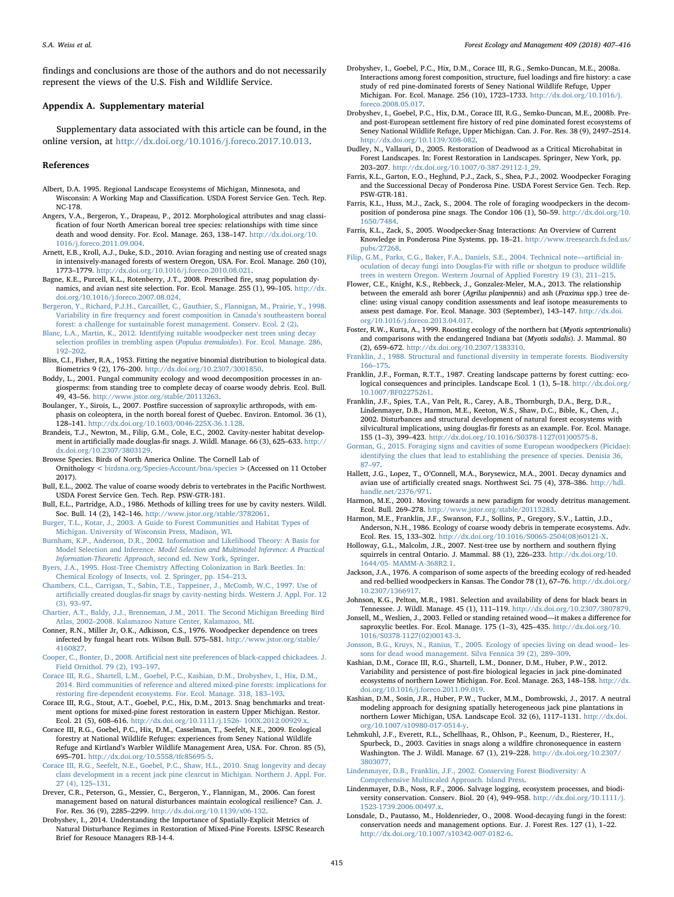findings and conclusions are those of the authors and do not necessarily represent the views of the U.S. Fish and Wildlife Service.

## Appendix A. Supplementary material

Supplementary data associated with this article can be found, in the online version, at <http://dx.doi.org/10.1016/j.foreco.2017.10.013>.

#### References

- <span id="page-9-13"></span>Albert, D.A. 1995. Regional Landscape Ecosystems of Michigan, Minnesota, and Wisconsin: A Working Map and Classification. USDA Forest Service Gen. Tech. Rep. NC-178.
- <span id="page-9-26"></span>Angers, V.A., Bergeron, Y., Drapeau, P., 2012. Morphological attributes and snag classification of four North American boreal tree species: relationships with time since death and wood density. For. Ecol. Manage. 263, 138–147. [http://dx.doi.org/10.](http://dx.doi.org/10.1016/j.foreco.2011.09.004) [1016/j.foreco.2011.09.004.](http://dx.doi.org/10.1016/j.foreco.2011.09.004)
- Arnett, E.B., Kroll, A.J., Duke, S.D., 2010. Avian foraging and nesting use of created snags in intensively-managed forests of western Oregon, USA. For. Ecol. Manage. 260 (10), 1773–1779. <http://dx.doi.org/10.1016/j.foreco.2010.08.021>.
- Bagne, K.E., Purcell, K.L., Rotenberry, J.T., 2008. Prescribed fire, snag population dynamics, and avian nest site selection. For. Ecol. Manage. 255 (1), 99–105. [http://dx.](http://dx.doi.org/10.1016/j.foreco.2007.08.024) [doi.org/10.1016/j.foreco.2007.08.024](http://dx.doi.org/10.1016/j.foreco.2007.08.024).
- <span id="page-9-3"></span>[Bergeron, Y., Richard, P.J.H., Carcaillet, C., Gauthier, S., Flannigan, M., Prairie, Y., 1998.](http://refhub.elsevier.com/S0378-1127(17)31208-2/h0025) Variability in fi[re frequency and forest composition in Canada](http://refhub.elsevier.com/S0378-1127(17)31208-2/h0025)'s southeastern boreal [forest: a challenge for sustainable forest management. Conserv. Ecol. 2 \(2\)](http://refhub.elsevier.com/S0378-1127(17)31208-2/h0025).
- <span id="page-9-32"></span>[Blanc, L.A., Martin, K., 2012. Identifying suitable woodpecker nest trees using decay](http://refhub.elsevier.com/S0378-1127(17)31208-2/h9000) selection profiles in trembling aspen (Populus tremuloides[\). For. Ecol. Manage. 286,](http://refhub.elsevier.com/S0378-1127(17)31208-2/h9000) 192–[202](http://refhub.elsevier.com/S0378-1127(17)31208-2/h9000).
- <span id="page-9-29"></span>Bliss, C.I., Fisher, R.A., 1953. Fitting the negative binomial distribution to biological data. Biometrics 9 (2), 176–200. <http://dx.doi.org/10.2307/3001850>.
- <span id="page-9-2"></span>Boddy, L., 2001. Fungal community ecology and wood decomposition processes in angiosperms: from standing tree to complete decay of coarse woody debris. Ecol. Bull. 49, 43–56. [http://www.jstor.org/stable/20113263.](http://www.jstor.org/stable/20113263)
- <span id="page-9-6"></span>Boulanger, Y., Sirois, L., 2007. Postfire succession of saproxylic arthropods, with emphasis on coleoptera, in the north boreal forest of Quebec. Environ. Entomol. 36 (1), 128–141. <http://dx.doi.org/10.1603/0046-225X-36.1.128>.
- Brandeis, T.J., Newton, M., Filip, G.M., Cole, E.C., 2002. Cavity-nester habitat development in artificially made douglas-fir snags. J. Wildl. Manage. 66 (3), 625–633. [http://](http://dx.doi.org/10.2307/3803129) [dx.doi.org/10.2307/3803129.](http://dx.doi.org/10.2307/3803129)
- <span id="page-9-23"></span>Browse Species. Birds of North America Online. The Cornell Lab of
- Ornithology < [birdsna.org/Species-Account/bna/species](http://birdsna.org/Species-Account/bna/species) > (Accessed on 11 October 2017).
- Bull, E.L., 2002. The value of coarse woody debris to vertebrates in the Pacific Northwest. USDA Forest Service Gen. Tech. Rep. PSW-GTR-181.
- <span id="page-9-11"></span>Bull, E.L., Partridge, A.D., 1986. Methods of killing trees for use by cavity nesters. Wildl. Soc. Bull. 14 (2), 142–146. [http://www.jstor.org/stable/3782061.](http://www.jstor.org/stable/3782061)
- <span id="page-9-17"></span>[Burger, T.L., Kotar, J., 2003. A Guide to Forest Communities and Habitat Types of](http://refhub.elsevier.com/S0378-1127(17)31208-2/h0070) [Michigan. University of Wisconsin Press, Madison, WI.](http://refhub.elsevier.com/S0378-1127(17)31208-2/h0070)
- <span id="page-9-28"></span>[Burnham, K.P., Anderson, D.R., 2002. Information and Likelihood Theory: A Basis for](http://refhub.elsevier.com/S0378-1127(17)31208-2/h0075) Model Selection and Inference. [Model Selection and Multimodel Inference: A Practical](http://refhub.elsevier.com/S0378-1127(17)31208-2/h0075) Information-Theoretic Approach[, second ed. New York, Springer](http://refhub.elsevier.com/S0378-1127(17)31208-2/h0075).
- <span id="page-9-5"></span>[Byers, J.A., 1995. Host-Tree Chemistry A](http://refhub.elsevier.com/S0378-1127(17)31208-2/h0080)ffecting Colonization in Bark Beetles. In: [Chemical Ecology of Insects, vol. 2. Springer, pp. 154](http://refhub.elsevier.com/S0378-1127(17)31208-2/h0080)–213.
- [Chambers, C.L., Carrigan, T., Sabin, T.E., Tappeiner, J., McComb, W.C., 1997. Use of](http://refhub.elsevier.com/S0378-1127(17)31208-2/h0085) artificially created douglas-fi[r snags by cavity-nesting birds. Western J. Appl. For. 12](http://refhub.elsevier.com/S0378-1127(17)31208-2/h0085) [\(3\), 93](http://refhub.elsevier.com/S0378-1127(17)31208-2/h0085)–97.
- <span id="page-9-22"></span>[Chartier, A.T., Baldy, J.J., Brenneman, J.M., 2011. The Second Michigan Breeding Bird](http://refhub.elsevier.com/S0378-1127(17)31208-2/h0090) Atlas, 2002–[2008. Kalamazoo Nature Center, Kalamazoo, MI.](http://refhub.elsevier.com/S0378-1127(17)31208-2/h0090)
- <span id="page-9-31"></span>Conner, R.N., Miller Jr, O.K., Adkisson, C.S., 1976. Woodpecker dependence on trees infected by fungal heart rots. Wilson Bull. 575–581. [http://www.jstor.org/stable/](http://www.jstor.org/stable/4160827) [4160827.](http://www.jstor.org/stable/4160827)
- <span id="page-9-25"></span>Cooper, C., Bonter, D., 2008. Artifi[cial nest site preferences of black-capped chickadees. J.](http://refhub.elsevier.com/S0378-1127(17)31208-2/h0100) [Field Ornithol. 79 \(2\), 193](http://refhub.elsevier.com/S0378-1127(17)31208-2/h0100)–197.
- <span id="page-9-15"></span>[Corace III, R.G., Shartell, L.M., Goebel, P.C., Kashian, D.M., Drobyshev, I., Hix, D.M.,](http://refhub.elsevier.com/S0378-1127(17)31208-2/h0105) [2014. Bird communities of reference and altered mixed-pine forests: implications for](http://refhub.elsevier.com/S0378-1127(17)31208-2/h0105) restoring fi[re-dependent ecosystems. For. Ecol. Manage. 318, 183](http://refhub.elsevier.com/S0378-1127(17)31208-2/h0105)–193.
- <span id="page-9-12"></span>Corace III, R.G., Stout, A.T., Goebel, P.C., Hix, D.M., 2013. Snag benchmarks and treatment options for mixed-pine forest restoration in eastern Upper Michigan. Restor. Ecol. 21 (5), 608–616. [http://dx.doi.org/10.1111/j.1526- 100X.2012.00929.x.](http://dx.doi.org/10.1111/j.1526- 100X.2012.00929.x)
- <span id="page-9-18"></span>Corace III, R.G., Goebel, P.C., Hix, D.M., Casselman, T., Seefelt, N.E., 2009. Ecological forestry at National Wildlife Refuges: experiences from Seney National Wildlife Refuge and Kirtland's Warbler Wildlife Management Area, USA. For. Chron. 85 (5), 695–701. [http://dx.doi.org/10.5558/tfc85695-5.](http://dx.doi.org/10.5558/tfc85695-5)
- [Corace III, R.G., Seefelt, N.E., Goebel, P.C., Shaw, H.L., 2010. Snag longevity and decay](http://refhub.elsevier.com/S0378-1127(17)31208-2/h0120) [class development in a recent jack pine clearcut in Michigan. Northern J. Appl. For.](http://refhub.elsevier.com/S0378-1127(17)31208-2/h0120) [27 \(4\), 125](http://refhub.elsevier.com/S0378-1127(17)31208-2/h0120)–131.
- Drever, C.R., Peterson, G., Messier, C., Bergeron, Y., Flannigan, M., 2006. Can forest management based on natural disturbances maintain ecological resilience? Can. J. For. Res. 36 (9), 2285–2299. <http://dx.doi.org/10.1139/x06-132>.
- <span id="page-9-16"></span>Drobyshev, I., 2014. Understanding the Importance of Spatially-Explicit Metrics of Natural Disturbance Regimes in Restoration of Mixed-Pine Forests. LSFSC Research Brief for Resouce Managers RB-14-4.
- <span id="page-9-14"></span>Drobyshev, I., Goebel, P.C., Hix, D.M., Corace III, R.G., Semko-Duncan, M.E., 2008a. Interactions among forest composition, structure, fuel loadings and fire history: a case study of red pine-dominated forests of Seney National Wildlife Refuge, Upper Michigan. For. Ecol. Manage. 256 (10), 1723–1733. [http://dx.doi.org/10.1016/j.](http://dx.doi.org/10.1016/j.foreco.2008.05.017) [foreco.2008.05.017.](http://dx.doi.org/10.1016/j.foreco.2008.05.017)
- <span id="page-9-20"></span>Drobyshev, I., Goebel, P.C., Hix, D.M., Corace III, R.G., Semko-Duncan, M.E., 2008b. Preand post-European settlement fire history of red pine dominated forest ecosystems of Seney National Wildlife Refuge, Upper Michigan. Can. J. For. Res. 38 (9), 2497–2514. <http://dx.doi.org/10.1139/X08-082>.
- Dudley, N., Vallauri, D., 2005. Restoration of Deadwood as a Critical Microhabitat in Forest Landscapes. In: Forest Restoration in Landscapes. Springer, New York, pp. 203–207. [http://dx.doi.org/10.1007/0-387-29112-1\\_29](http://dx.doi.org/10.1007/0-387-29112-1_29).
- <span id="page-9-8"></span>Farris, K.L., Garton, E.O., Heglund, P.J., Zack, S., Shea, P.J., 2002. Woodpecker Foraging and the Successional Decay of Ponderosa Pine. USDA Forest Service Gen. Tech. Rep. PSW-GTR-181.
- Farris, K.L., Huss, M.J., Zack, S., 2004. The role of foraging woodpeckers in the decomposition of ponderosa pine snags. The Condor 106 (1), 50–59. [http://dx.doi.org/10.](http://dx.doi.org/10.1650/7484) [1650/7484](http://dx.doi.org/10.1650/7484).
- <span id="page-9-9"></span>Farris, K.L., Zack, S., 2005. Woodpecker-Snag Interactions: An Overview of Current Knowledge in Ponderosa Pine Systems. pp. 18–21. [http://www.treesearch.fs.fed.us/](http://www.treesearch.fs.fed.us/pubs/27268) [pubs/27268.](http://www.treesearch.fs.fed.us/pubs/27268)
- [Filip, G.M., Parks, C.G., Baker, F.A., Daniels, S.E., 2004. Technical note](http://refhub.elsevier.com/S0378-1127(17)31208-2/h0170)—artificial in[oculation of decay fungi into Douglas-Fir with ri](http://refhub.elsevier.com/S0378-1127(17)31208-2/h0170)fle or shotgun to produce wildlife [trees in western Oregon. Western Journal of Applied Forestry 19 \(3\), 211](http://refhub.elsevier.com/S0378-1127(17)31208-2/h0170)–215.
- <span id="page-9-27"></span>Flower, C.E., Knight, K.S., Rebbeck, J., Gonzalez-Meler, M.A., 2013. The relationship between the emerald ash borer (Agrilus planipennis) and ash (Fraxinus spp.) tree decline: using visual canopy condition assessments and leaf isotope measurements to assess pest damage. For. Ecol. Manage. 303 (September), 143–147. [http://dx.doi.](http://dx.doi.org/10.1016/j.foreco.2013.04.017) [org/10.1016/j.foreco.2013.04.017](http://dx.doi.org/10.1016/j.foreco.2013.04.017).
- <span id="page-9-33"></span>Foster, R.W., Kurta, A., 1999. Roosting ecology of the northern bat (Myotis septentrionalis) and comparisons with the endangered Indiana bat (Myotis sodalis). J. Mammal. 80 (2), 659–672. [http://dx.doi.org/10.2307/1383310.](http://dx.doi.org/10.2307/1383310)
- [Franklin, J., 1988. Structural and functional diversity in temperate forests. Biodiversity](http://refhub.elsevier.com/S0378-1127(17)31208-2/h0190) 166–[175](http://refhub.elsevier.com/S0378-1127(17)31208-2/h0190).
- <span id="page-9-1"></span>Franklin, J.F., Forman, R.T.T., 1987. Creating landscape patterns by forest cutting: ecological consequences and principles. Landscape Ecol. 1 (1), 5–18. [http://dx.doi.org/](http://dx.doi.org/10.1007/BF02275261) [10.1007/BF02275261](http://dx.doi.org/10.1007/BF02275261).
- <span id="page-9-10"></span>Franklin, J.F., Spies, T.A., Van Pelt, R., Carey, A.B., Thornburgh, D.A., Berg, D.R., Lindenmayer, D.B., Harmon, M.E., Keeton, W.S., Shaw, D.C., Bible, K., Chen, J., 2002. Disturbances and structural development of natural forest ecosystems with silvicultural implications, using douglas-fir forests as an example. For. Ecol. Manage. 155 (1–3), 399–423. [http://dx.doi.org/10.1016/S0378-1127\(01\)00575-8.](http://dx.doi.org/10.1016/S0378-1127(01)00575-8)
- <span id="page-9-21"></span>[Gorman, G., 2015. Foraging signs and cavities of some European woodpeckers \(Picidae\):](http://refhub.elsevier.com/S0378-1127(17)31208-2/h0215) [identifying the clues that lead to establishing the presence of species. Denisia 36,](http://refhub.elsevier.com/S0378-1127(17)31208-2/h0215) 87–[97](http://refhub.elsevier.com/S0378-1127(17)31208-2/h0215).
- <span id="page-9-30"></span>Hallett, J.G., Lopez, T., O'Connell, M.A., Borysewicz, M.A., 2001. Decay dynamics and avian use of artificially created snags. Northwest Sci. 75 (4), 378–386. [http://hdl.](http://hdl.handle.net/2376/971) [handle.net/2376/971.](http://hdl.handle.net/2376/971)
- Harmon, M.E., 2001. Moving towards a new paradigm for woody detritus management. Ecol. Bull. 269–278. [http://www.jstor.org/stable/20113283.](http://www.jstor.org/stable/20113283)
- <span id="page-9-0"></span>Harmon, M.E., Franklin, J.F., Swanson, F.J., Sollins, P., Gregory, S.V., Lattin, J.D., Anderson, N.H., 1986. Ecology of coarse woody debris in temperate ecosystems. Adv. Ecol. Res. 15, 133–302. [http://dx.doi.org/10.1016/S0065-2504\(08\)60121-X.](http://dx.doi.org/10.1016/S0065-2504(08)60121-X)
- <span id="page-9-7"></span>Holloway, G.L., Malcolm, J.R., 2007. Nest-tree use by northern and southern flying squirrels in central Ontario. J. Mammal. 88 (1), 226–233. [http://dx.doi.org/10.](http://dx.doi.org/10.1644/05- MAMM-A-368R2.1) [1644/05- MAMM-A-368R2.1.](http://dx.doi.org/10.1644/05- MAMM-A-368R2.1)
- <span id="page-9-24"></span>Jackson, J.A., 1976. A comparison of some aspects of the breeding ecology of red-headed and red-bellied woodpeckers in Kansas. The Condor 78 (1), 67–76. [http://dx.doi.org/](http://dx.doi.org/10.2307/1366917) [10.2307/1366917](http://dx.doi.org/10.2307/1366917).
- Johnson, K.G., Pelton, M.R., 1981. Selection and availability of dens for black bears in Tennessee. J. Wildl. Manage. 45 (1), 111–119. [http://dx.doi.org/10.2307/3807879.](http://dx.doi.org/10.2307/3807879)
- Jonsell, M., Weslien, J., 2003. Felled or standing retained wood—it makes a difference for saproxylic beetles. For. Ecol. Manage. 175 (1-3), 425-435. [http://dx.doi.org/10.](http://dx.doi.org/10.1016/S0378-1127(02)00143-3) [1016/S0378-1127\(02\)00143-3.](http://dx.doi.org/10.1016/S0378-1127(02)00143-3)
- [Jonsson, B.G., Kruys, N., Ranius, T., 2005. Ecology of species living on dead wood](http://refhub.elsevier.com/S0378-1127(17)31208-2/h0265) les[sons for dead wood management. Silva Fennica 39 \(2\), 289](http://refhub.elsevier.com/S0378-1127(17)31208-2/h0265)–309.
- Kashian, D.M., Corace III, R.G., Shartell, L.M., Donner, D.M., Huber, P.W., 2012. Variability and persistence of post-fire biological legacies in jack pine-dominated ecosystems of northern Lower Michigan. For. Ecol. Manage. 263, 148–158. [http://dx.](http://dx.doi.org/10.1016/j.foreco.2011.09.019) [doi.org/10.1016/j.foreco.2011.09.019](http://dx.doi.org/10.1016/j.foreco.2011.09.019).
- <span id="page-9-4"></span>Kashian, D.M., Sosin, J.R., Huber, P.W., Tucker, M.M., Dombrowski, J., 2017. A neutral modeling approach for designing spatially heterogeneous jack pine plantations in northern Lower Michigan, USA. Landscape Ecol. 32 (6), 1117–1131. [http://dx.doi.](http://dx.doi.org/10.1007/s10980-017-0514-y) [org/10.1007/s10980-017-0514-y.](http://dx.doi.org/10.1007/s10980-017-0514-y)
- Lehmkuhl, J.F., Everett, R.L., Schellhaas, R., Ohlson, P., Keenum, D., Riesterer, H., Spurbeck, D., 2003. Cavities in snags along a wildfire chronosequence in eastern Washington. The J. Wildl. Manage. 67 (1), 219–228. [http://dx.doi.org/10.2307/](http://dx.doi.org/10.2307/3803077) [3803077.](http://dx.doi.org/10.2307/3803077)

<span id="page-9-19"></span>[Lindenmayer, D.B., Franklin, J.F., 2002. Conserving Forest Biodiversity: A](http://refhub.elsevier.com/S0378-1127(17)31208-2/h0290) [Comprehensive Multiscaled Approach. Island Press](http://refhub.elsevier.com/S0378-1127(17)31208-2/h0290).

- Lindenmayer, D.B., Noss, R.F., 2006. Salvage logging, ecosystem processes, and biodiversity conservation. Conserv. Biol. 20 (4), 949–958. [http://dx.doi.org/10.1111/j.](http://dx.doi.org/10.1111/j.1523-1739.2006.00497.x) [1523-1739.2006.00497.x](http://dx.doi.org/10.1111/j.1523-1739.2006.00497.x).
- Lonsdale, D., Pautasso, M., Holdenrieder, O., 2008. Wood-decaying fungi in the forest: conservation needs and management options. Eur. J. Forest Res. 127 (1), 1–22. [http://dx.doi.org/10.1007/s10342-007-0182-6.](http://dx.doi.org/10.1007/s10342-007-0182-6)